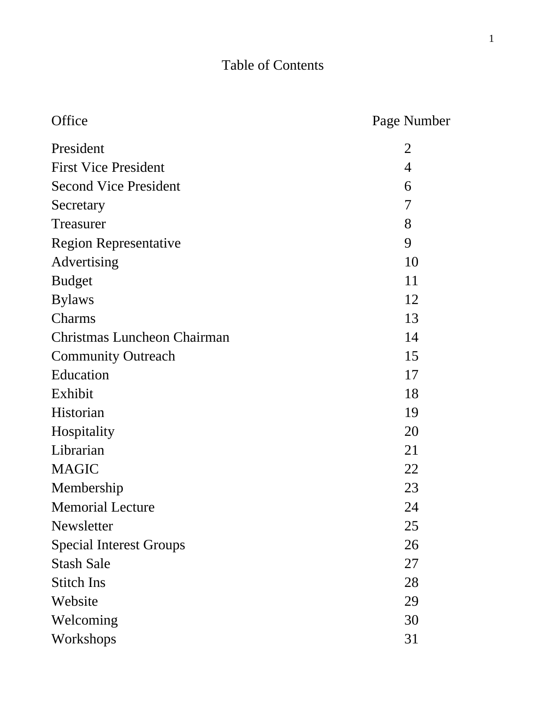# Table of Contents

| Office                         | Page Number    |
|--------------------------------|----------------|
| President                      | $\overline{2}$ |
| <b>First Vice President</b>    | $\overline{4}$ |
| <b>Second Vice President</b>   | 6              |
| Secretary                      | 7              |
| Treasurer                      | 8              |
| <b>Region Representative</b>   | 9              |
| Advertising                    | 10             |
| <b>Budget</b>                  | 11             |
| <b>Bylaws</b>                  | 12             |
| Charms                         | 13             |
| Christmas Luncheon Chairman    | 14             |
| <b>Community Outreach</b>      | 15             |
| Education                      | 17             |
| Exhibit                        | 18             |
| Historian                      | 19             |
| Hospitality                    | 20             |
| Librarian                      | 21             |
| <b>MAGIC</b>                   | 22             |
| Membership                     | 23             |
| <b>Memorial Lecture</b>        | 24             |
| Newsletter                     | 25             |
| <b>Special Interest Groups</b> | 26             |
| <b>Stash Sale</b>              | 27             |
| <b>Stitch Ins</b>              | 28             |
| Website                        | 29             |
| Welcoming                      | 30             |
| Workshops                      | 31             |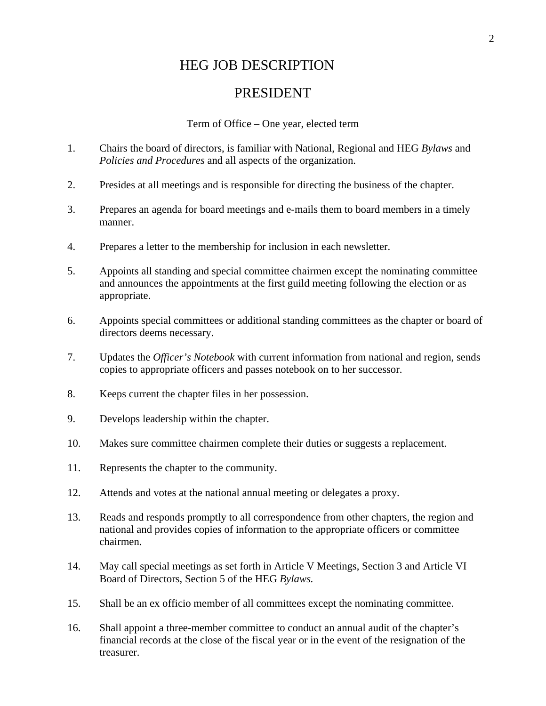#### HEG JOB DESCRIPTION

#### PRESIDENT

Term of Office – One year, elected term

- 1. Chairs the board of directors, is familiar with National, Regional and HEG *Bylaws* and *Policies and Procedures* and all aspects of the organization.
- 2. Presides at all meetings and is responsible for directing the business of the chapter.
- 3. Prepares an agenda for board meetings and e-mails them to board members in a timely manner.
- 4. Prepares a letter to the membership for inclusion in each newsletter.
- 5. Appoints all standing and special committee chairmen except the nominating committee and announces the appointments at the first guild meeting following the election or as appropriate.
- 6. Appoints special committees or additional standing committees as the chapter or board of directors deems necessary.
- 7. Updates the *Officer's Notebook* with current information from national and region, sends copies to appropriate officers and passes notebook on to her successor.
- 8. Keeps current the chapter files in her possession.
- 9. Develops leadership within the chapter.
- 10. Makes sure committee chairmen complete their duties or suggests a replacement.
- 11. Represents the chapter to the community.
- 12. Attends and votes at the national annual meeting or delegates a proxy.
- 13. Reads and responds promptly to all correspondence from other chapters, the region and national and provides copies of information to the appropriate officers or committee chairmen.
- 14. May call special meetings as set forth in Article V Meetings, Section 3 and Article VI Board of Directors, Section 5 of the HEG *Bylaws.*
- 15. Shall be an ex officio member of all committees except the nominating committee.
- 16. Shall appoint a three-member committee to conduct an annual audit of the chapter's financial records at the close of the fiscal year or in the event of the resignation of the treasurer.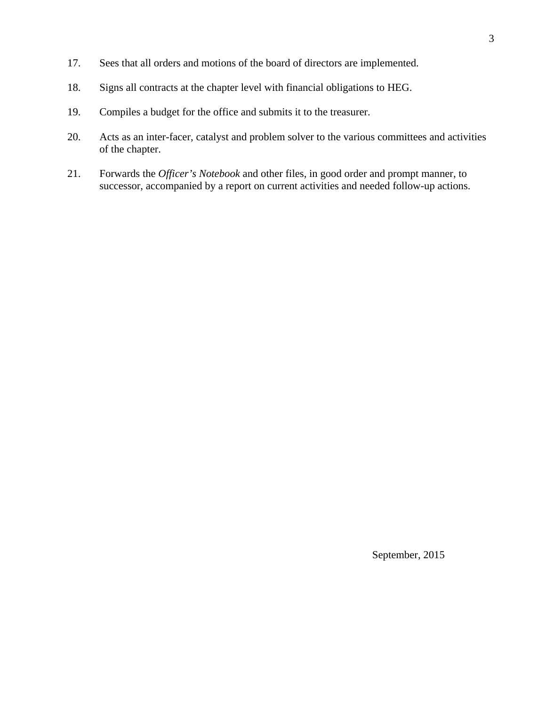- 17. Sees that all orders and motions of the board of directors are implemented.
- 18. Signs all contracts at the chapter level with financial obligations to HEG.
- 19. Compiles a budget for the office and submits it to the treasurer.
- 20. Acts as an inter-facer, catalyst and problem solver to the various committees and activities of the chapter.
- 21. Forwards the *Officer's Notebook* and other files, in good order and prompt manner, to successor, accompanied by a report on current activities and needed follow-up actions.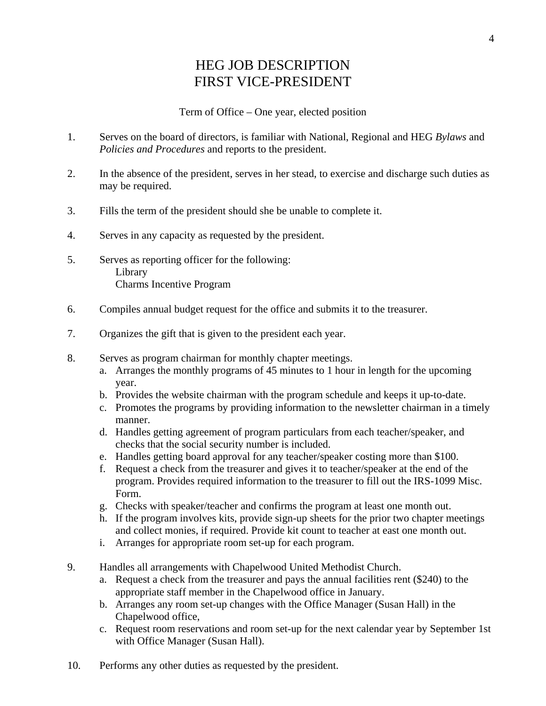### HEG JOB DESCRIPTION FIRST VICE-PRESIDENT

#### Term of Office – One year, elected position

- 1. Serves on the board of directors, is familiar with National, Regional and HEG *Bylaws* and *Policies and Procedures* and reports to the president.
- 2. In the absence of the president, serves in her stead, to exercise and discharge such duties as may be required.
- 3. Fills the term of the president should she be unable to complete it.
- 4. Serves in any capacity as requested by the president.
- 5. Serves as reporting officer for the following: Library Charms Incentive Program
- 6. Compiles annual budget request for the office and submits it to the treasurer.
- 7. Organizes the gift that is given to the president each year.
- 8. Serves as program chairman for monthly chapter meetings.
	- a. Arranges the monthly programs of 45 minutes to 1 hour in length for the upcoming year.
	- b. Provides the website chairman with the program schedule and keeps it up-to-date.
	- c. Promotes the programs by providing information to the newsletter chairman in a timely manner.
	- d. Handles getting agreement of program particulars from each teacher/speaker, and checks that the social security number is included.
	- e. Handles getting board approval for any teacher/speaker costing more than \$100.
	- f. Request a check from the treasurer and gives it to teacher/speaker at the end of the program. Provides required information to the treasurer to fill out the IRS-1099 Misc. Form.
	- g. Checks with speaker/teacher and confirms the program at least one month out.
	- h. If the program involves kits, provide sign-up sheets for the prior two chapter meetings and collect monies, if required. Provide kit count to teacher at east one month out.
	- i. Arranges for appropriate room set-up for each program.
- 9. Handles all arrangements with Chapelwood United Methodist Church.
	- a. Request a check from the treasurer and pays the annual facilities rent (\$240) to the appropriate staff member in the Chapelwood office in January.
	- b. Arranges any room set-up changes with the Office Manager (Susan Hall) in the Chapelwood office,
	- c. Request room reservations and room set-up for the next calendar year by September 1st with Office Manager (Susan Hall).
- 10. Performs any other duties as requested by the president.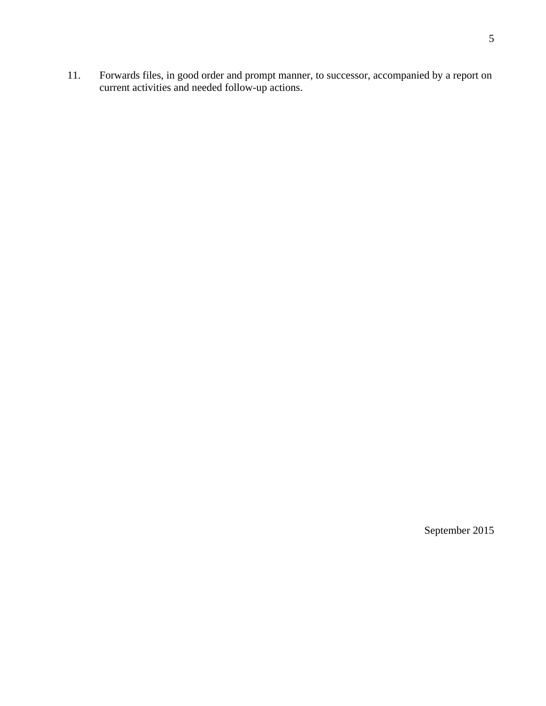11. Forwards files, in good order and prompt manner, to successor, accompanied by a report on current activities and needed follow-up actions.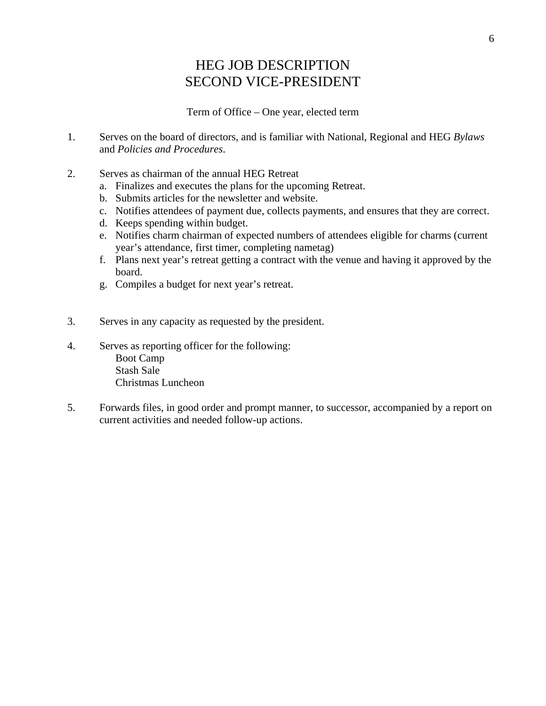## HEG JOB DESCRIPTION SECOND VICE-PRESIDENT

Term of Office – One year, elected term

- 1. Serves on the board of directors, and is familiar with National, Regional and HEG *Bylaws* and *Policies and Procedures*.
- 2. Serves as chairman of the annual HEG Retreat
	- a. Finalizes and executes the plans for the upcoming Retreat.
	- b. Submits articles for the newsletter and website.
	- c. Notifies attendees of payment due, collects payments, and ensures that they are correct.
	- d. Keeps spending within budget.
	- e. Notifies charm chairman of expected numbers of attendees eligible for charms (current year's attendance, first timer, completing nametag)
	- f. Plans next year's retreat getting a contract with the venue and having it approved by the board.
	- g. Compiles a budget for next year's retreat.
- 3. Serves in any capacity as requested by the president.
- 4. Serves as reporting officer for the following: Boot Camp Stash Sale Christmas Luncheon
- 5. Forwards files, in good order and prompt manner, to successor, accompanied by a report on current activities and needed follow-up actions.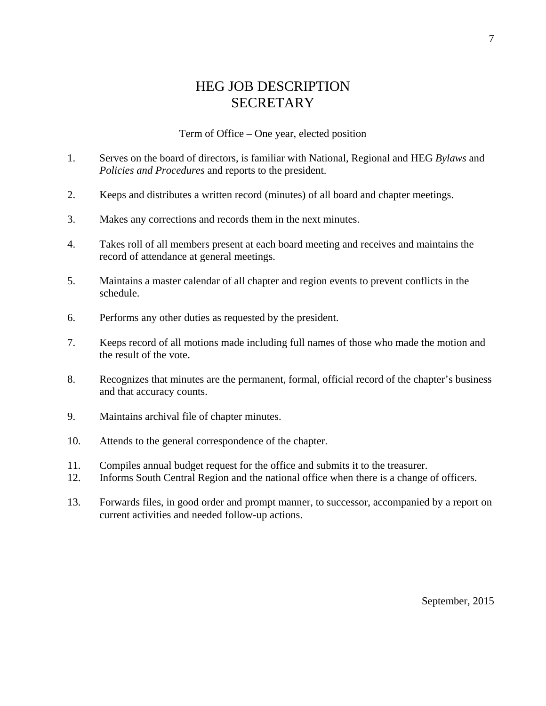#### HEG JOB DESCRIPTION **SECRETARY**

Term of Office – One year, elected position

- 1. Serves on the board of directors, is familiar with National, Regional and HEG *Bylaws* and *Policies and Procedures* and reports to the president.
- 2. Keeps and distributes a written record (minutes) of all board and chapter meetings.
- 3. Makes any corrections and records them in the next minutes.
- 4. Takes roll of all members present at each board meeting and receives and maintains the record of attendance at general meetings.
- 5. Maintains a master calendar of all chapter and region events to prevent conflicts in the schedule.
- 6. Performs any other duties as requested by the president.
- 7. Keeps record of all motions made including full names of those who made the motion and the result of the vote.
- 8. Recognizes that minutes are the permanent, formal, official record of the chapter's business and that accuracy counts.
- 9. Maintains archival file of chapter minutes.
- 10. Attends to the general correspondence of the chapter.
- 11. Compiles annual budget request for the office and submits it to the treasurer.
- 12. Informs South Central Region and the national office when there is a change of officers.
- 13. Forwards files, in good order and prompt manner, to successor, accompanied by a report on current activities and needed follow-up actions.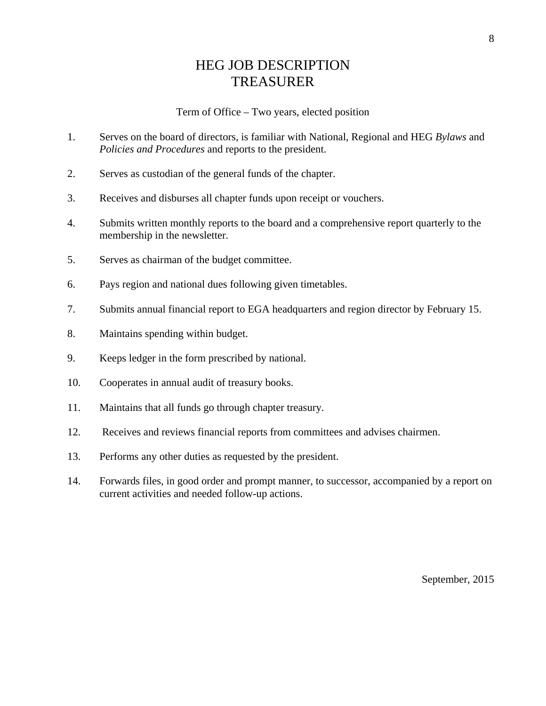## HEG JOB DESCRIPTION TREASURER

#### Term of Office – Two years, elected position

- 1. Serves on the board of directors, is familiar with National, Regional and HEG *Bylaws* and *Policies and Procedures* and reports to the president.
- 2. Serves as custodian of the general funds of the chapter.
- 3. Receives and disburses all chapter funds upon receipt or vouchers.
- 4. Submits written monthly reports to the board and a comprehensive report quarterly to the membership in the newsletter.
- 5. Serves as chairman of the budget committee.
- 6. Pays region and national dues following given timetables.
- 7. Submits annual financial report to EGA headquarters and region director by February 15.
- 8. Maintains spending within budget.
- 9. Keeps ledger in the form prescribed by national.
- 10. Cooperates in annual audit of treasury books.
- 11. Maintains that all funds go through chapter treasury.
- 12. Receives and reviews financial reports from committees and advises chairmen.
- 13. Performs any other duties as requested by the president.
- 14. Forwards files, in good order and prompt manner, to successor, accompanied by a report on current activities and needed follow-up actions.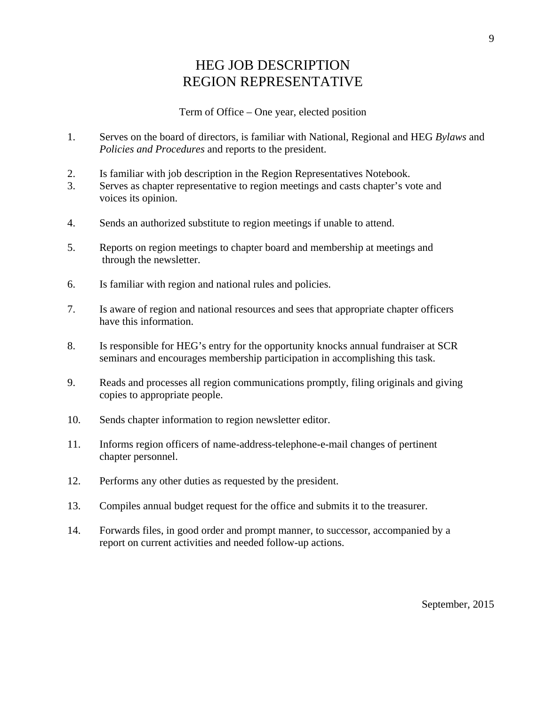#### HEG JOB DESCRIPTION REGION REPRESENTATIVE

Term of Office – One year, elected position

- 1. Serves on the board of directors, is familiar with National, Regional and HEG *Bylaws* and *Policies and Procedures* and reports to the president.
- 2. Is familiar with job description in the Region Representatives Notebook.
- 3. Serves as chapter representative to region meetings and casts chapter's vote and voices its opinion.
- 4. Sends an authorized substitute to region meetings if unable to attend.
- 5. Reports on region meetings to chapter board and membership at meetings and through the newsletter.
- 6. Is familiar with region and national rules and policies.
- 7. Is aware of region and national resources and sees that appropriate chapter officers have this information.
- 8. Is responsible for HEG's entry for the opportunity knocks annual fundraiser at SCR seminars and encourages membership participation in accomplishing this task.
- 9. Reads and processes all region communications promptly, filing originals and giving copies to appropriate people.
- 10. Sends chapter information to region newsletter editor.
- 11. Informs region officers of name-address-telephone-e-mail changes of pertinent chapter personnel.
- 12. Performs any other duties as requested by the president.
- 13. Compiles annual budget request for the office and submits it to the treasurer.
- 14. Forwards files, in good order and prompt manner, to successor, accompanied by a report on current activities and needed follow-up actions.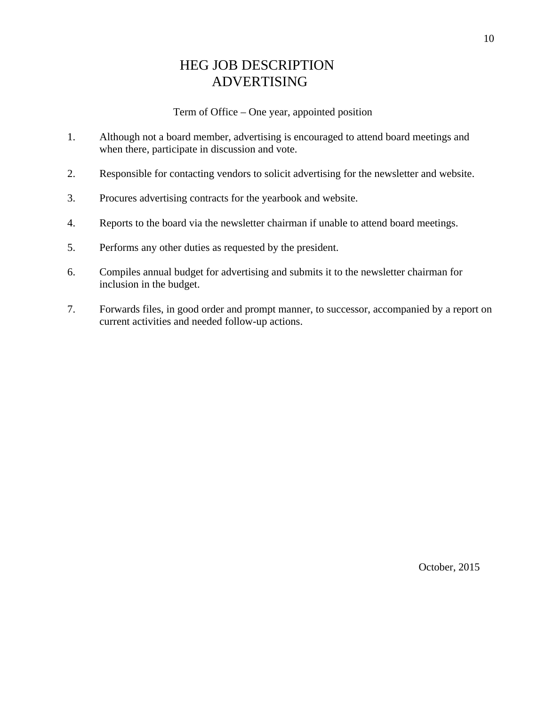## HEG JOB DESCRIPTION ADVERTISING

Term of Office – One year, appointed position

- 1. Although not a board member, advertising is encouraged to attend board meetings and when there, participate in discussion and vote.
- 2. Responsible for contacting vendors to solicit advertising for the newsletter and website.
- 3. Procures advertising contracts for the yearbook and website.
- 4. Reports to the board via the newsletter chairman if unable to attend board meetings.
- 5. Performs any other duties as requested by the president.
- 6. Compiles annual budget for advertising and submits it to the newsletter chairman for inclusion in the budget.
- 7. Forwards files, in good order and prompt manner, to successor, accompanied by a report on current activities and needed follow-up actions.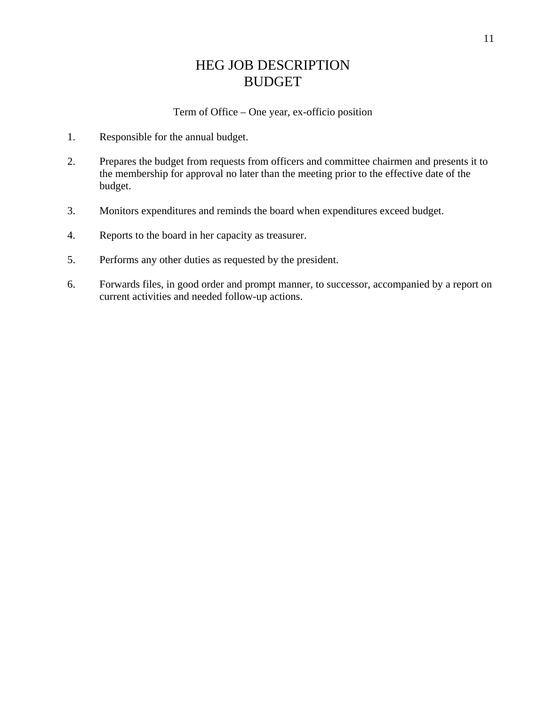## HEG JOB DESCRIPTION BUDGET

Term of Office – One year, ex-officio position

- 1. Responsible for the annual budget.
- 2. Prepares the budget from requests from officers and committee chairmen and presents it to the membership for approval no later than the meeting prior to the effective date of the budget.
- 3. Monitors expenditures and reminds the board when expenditures exceed budget.
- 4. Reports to the board in her capacity as treasurer.
- 5. Performs any other duties as requested by the president.
- 6. Forwards files, in good order and prompt manner, to successor, accompanied by a report on current activities and needed follow-up actions.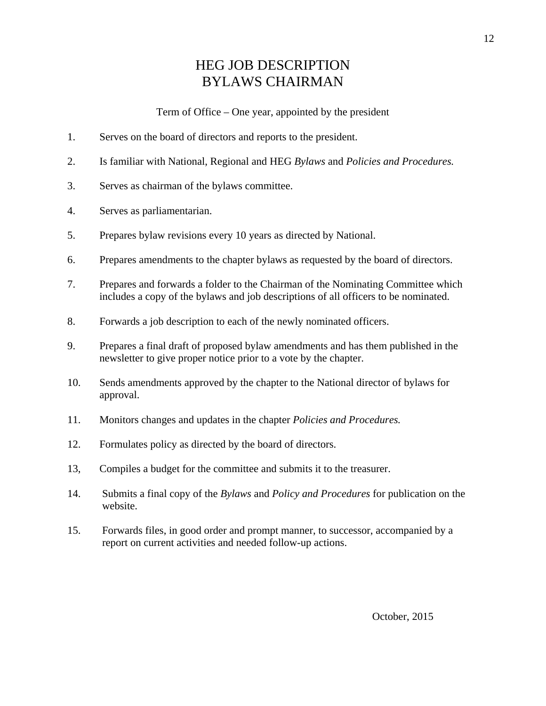## HEG JOB DESCRIPTION BYLAWS CHAIRMAN

Term of Office – One year, appointed by the president

- 1. Serves on the board of directors and reports to the president.
- 2. Is familiar with National, Regional and HEG *Bylaws* and *Policies and Procedures.*
- 3. Serves as chairman of the bylaws committee.
- 4. Serves as parliamentarian.
- 5. Prepares bylaw revisions every 10 years as directed by National.
- 6. Prepares amendments to the chapter bylaws as requested by the board of directors.
- 7. Prepares and forwards a folder to the Chairman of the Nominating Committee which includes a copy of the bylaws and job descriptions of all officers to be nominated.
- 8. Forwards a job description to each of the newly nominated officers.
- 9. Prepares a final draft of proposed bylaw amendments and has them published in the newsletter to give proper notice prior to a vote by the chapter.
- 10. Sends amendments approved by the chapter to the National director of bylaws for approval.
- 11. Monitors changes and updates in the chapter *Policies and Procedures.*
- 12. Formulates policy as directed by the board of directors.
- 13, Compiles a budget for the committee and submits it to the treasurer.
- 14. Submits a final copy of the *Bylaws* and *Policy and Procedures* for publication on the website.
- 15. Forwards files, in good order and prompt manner, to successor, accompanied by a report on current activities and needed follow-up actions.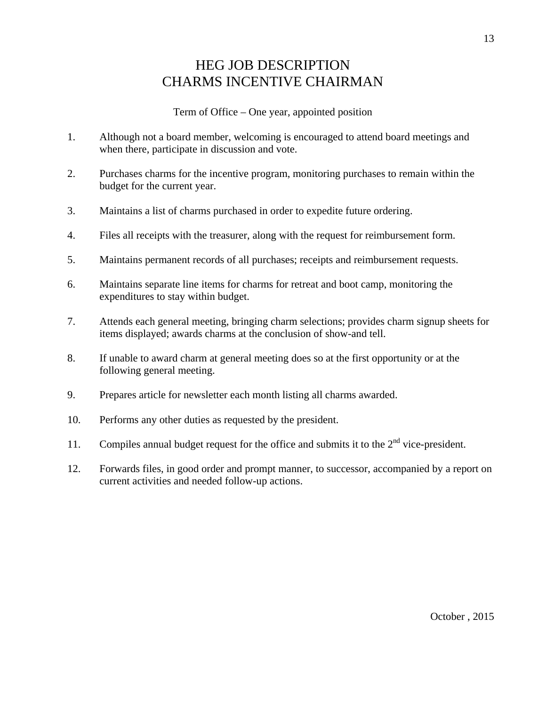## HEG JOB DESCRIPTION CHARMS INCENTIVE CHAIRMAN

- 1. Although not a board member, welcoming is encouraged to attend board meetings and when there, participate in discussion and vote.
- 2. Purchases charms for the incentive program, monitoring purchases to remain within the budget for the current year.
- 3. Maintains a list of charms purchased in order to expedite future ordering.
- 4. Files all receipts with the treasurer, along with the request for reimbursement form.
- 5. Maintains permanent records of all purchases; receipts and reimbursement requests.
- 6. Maintains separate line items for charms for retreat and boot camp, monitoring the expenditures to stay within budget.
- 7. Attends each general meeting, bringing charm selections; provides charm signup sheets for items displayed; awards charms at the conclusion of show-and tell.
- 8. If unable to award charm at general meeting does so at the first opportunity or at the following general meeting.
- 9. Prepares article for newsletter each month listing all charms awarded.
- 10. Performs any other duties as requested by the president.
- 11. Compiles annual budget request for the office and submits it to the  $2<sup>nd</sup>$  vice-president.
- 12. Forwards files, in good order and prompt manner, to successor, accompanied by a report on current activities and needed follow-up actions.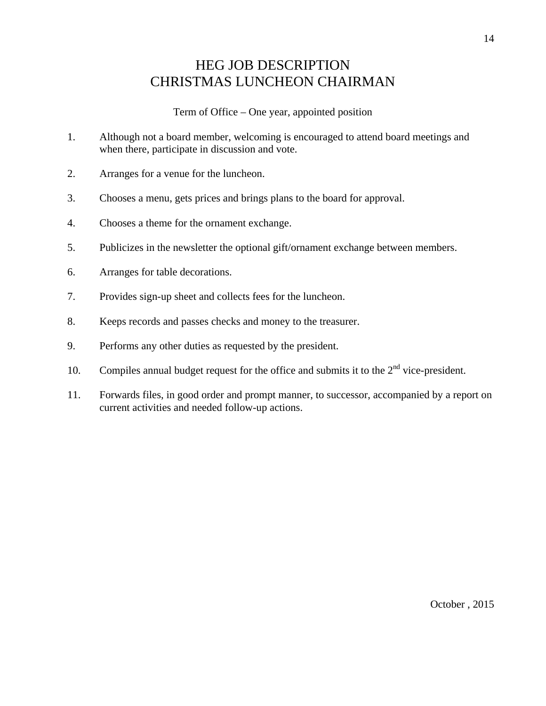## HEG JOB DESCRIPTION CHRISTMAS LUNCHEON CHAIRMAN

- 1. Although not a board member, welcoming is encouraged to attend board meetings and when there, participate in discussion and vote.
- 2. Arranges for a venue for the luncheon.
- 3. Chooses a menu, gets prices and brings plans to the board for approval.
- 4. Chooses a theme for the ornament exchange.
- 5. Publicizes in the newsletter the optional gift/ornament exchange between members.
- 6. Arranges for table decorations.
- 7. Provides sign-up sheet and collects fees for the luncheon.
- 8. Keeps records and passes checks and money to the treasurer.
- 9. Performs any other duties as requested by the president.
- 10. Compiles annual budget request for the office and submits it to the  $2<sup>nd</sup>$  vice-president.
- 11. Forwards files, in good order and prompt manner, to successor, accompanied by a report on current activities and needed follow-up actions.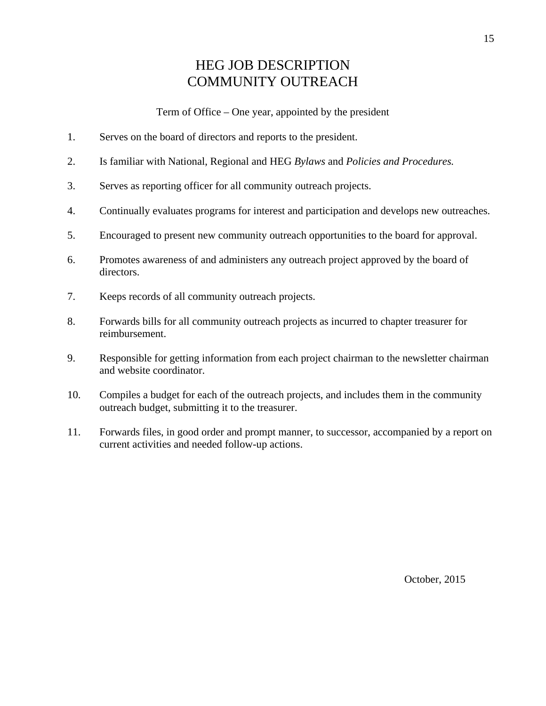## HEG JOB DESCRIPTION COMMUNITY OUTREACH

Term of Office – One year, appointed by the president

- 1. Serves on the board of directors and reports to the president.
- 2. Is familiar with National, Regional and HEG *Bylaws* and *Policies and Procedures.*
- 3. Serves as reporting officer for all community outreach projects.
- 4. Continually evaluates programs for interest and participation and develops new outreaches.
- 5. Encouraged to present new community outreach opportunities to the board for approval.
- 6. Promotes awareness of and administers any outreach project approved by the board of directors.
- 7. Keeps records of all community outreach projects.
- 8. Forwards bills for all community outreach projects as incurred to chapter treasurer for reimbursement.
- 9. Responsible for getting information from each project chairman to the newsletter chairman and website coordinator.
- 10. Compiles a budget for each of the outreach projects, and includes them in the community outreach budget, submitting it to the treasurer.
- 11. Forwards files, in good order and prompt manner, to successor, accompanied by a report on current activities and needed follow-up actions.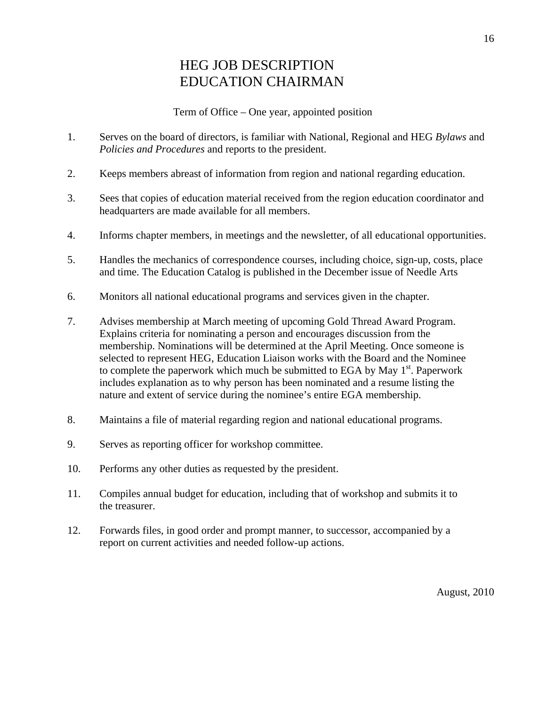### HEG JOB DESCRIPTION EDUCATION CHAIRMAN

Term of Office – One year, appointed position

- 1. Serves on the board of directors, is familiar with National, Regional and HEG *Bylaws* and *Policies and Procedures* and reports to the president.
- 2. Keeps members abreast of information from region and national regarding education.
- 3. Sees that copies of education material received from the region education coordinator and headquarters are made available for all members.
- 4. Informs chapter members, in meetings and the newsletter, of all educational opportunities.
- 5. Handles the mechanics of correspondence courses, including choice, sign-up, costs, place and time. The Education Catalog is published in the December issue of Needle Arts
- 6. Monitors all national educational programs and services given in the chapter.
- 7. Advises membership at March meeting of upcoming Gold Thread Award Program. Explains criteria for nominating a person and encourages discussion from the membership. Nominations will be determined at the April Meeting. Once someone is selected to represent HEG, Education Liaison works with the Board and the Nominee to complete the paperwork which much be submitted to EGA by May  $1<sup>st</sup>$ . Paperwork includes explanation as to why person has been nominated and a resume listing the nature and extent of service during the nominee's entire EGA membership.
- 8. Maintains a file of material regarding region and national educational programs.
- 9. Serves as reporting officer for workshop committee.
- 10. Performs any other duties as requested by the president.
- 11. Compiles annual budget for education, including that of workshop and submits it to the treasurer.
- 12. Forwards files, in good order and prompt manner, to successor, accompanied by a report on current activities and needed follow-up actions.

August, 2010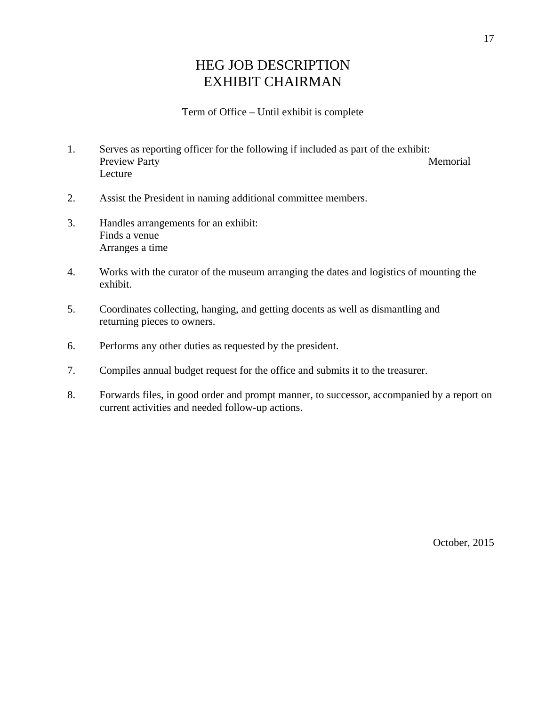## HEG JOB DESCRIPTION EXHIBIT CHAIRMAN

#### Term of Office – Until exhibit is complete

- 1. Serves as reporting officer for the following if included as part of the exhibit: Preview Party Memorial Lecture
- 2. Assist the President in naming additional committee members.
- 3. Handles arrangements for an exhibit: Finds a venue Arranges a time
- 4. Works with the curator of the museum arranging the dates and logistics of mounting the exhibit.
- 5. Coordinates collecting, hanging, and getting docents as well as dismantling and returning pieces to owners.
- 6. Performs any other duties as requested by the president.
- 7. Compiles annual budget request for the office and submits it to the treasurer.
- 8. Forwards files, in good order and prompt manner, to successor, accompanied by a report on current activities and needed follow-up actions.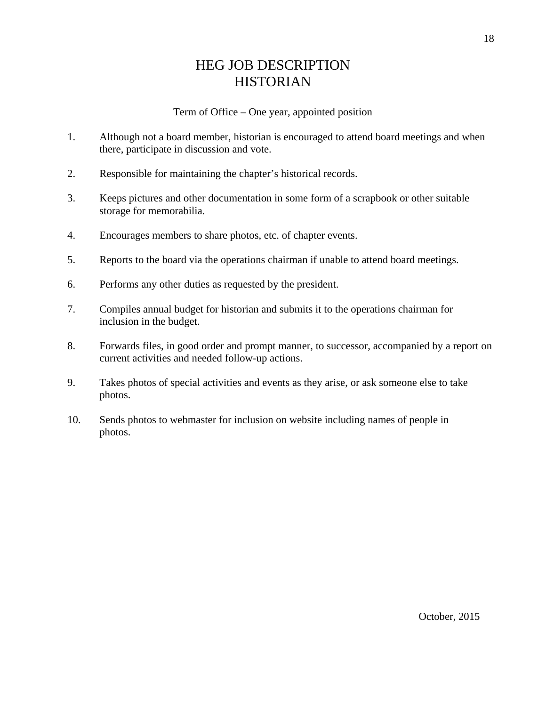## HEG JOB DESCRIPTION **HISTORIAN**

- 1. Although not a board member, historian is encouraged to attend board meetings and when there, participate in discussion and vote.
- 2. Responsible for maintaining the chapter's historical records.
- 3. Keeps pictures and other documentation in some form of a scrapbook or other suitable storage for memorabilia.
- 4. Encourages members to share photos, etc. of chapter events.
- 5. Reports to the board via the operations chairman if unable to attend board meetings.
- 6. Performs any other duties as requested by the president.
- 7. Compiles annual budget for historian and submits it to the operations chairman for inclusion in the budget.
- 8. Forwards files, in good order and prompt manner, to successor, accompanied by a report on current activities and needed follow-up actions.
- 9. Takes photos of special activities and events as they arise, or ask someone else to take photos.
- 10. Sends photos to webmaster for inclusion on website including names of people in photos.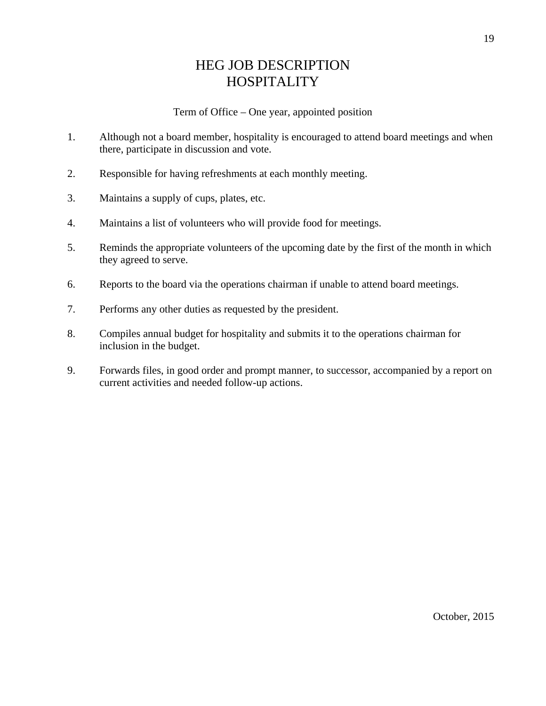## HEG JOB DESCRIPTION **HOSPITALITY**

- 1. Although not a board member, hospitality is encouraged to attend board meetings and when there, participate in discussion and vote.
- 2. Responsible for having refreshments at each monthly meeting.
- 3. Maintains a supply of cups, plates, etc.
- 4. Maintains a list of volunteers who will provide food for meetings.
- 5. Reminds the appropriate volunteers of the upcoming date by the first of the month in which they agreed to serve.
- 6. Reports to the board via the operations chairman if unable to attend board meetings.
- 7. Performs any other duties as requested by the president.
- 8. Compiles annual budget for hospitality and submits it to the operations chairman for inclusion in the budget.
- 9. Forwards files, in good order and prompt manner, to successor, accompanied by a report on current activities and needed follow-up actions.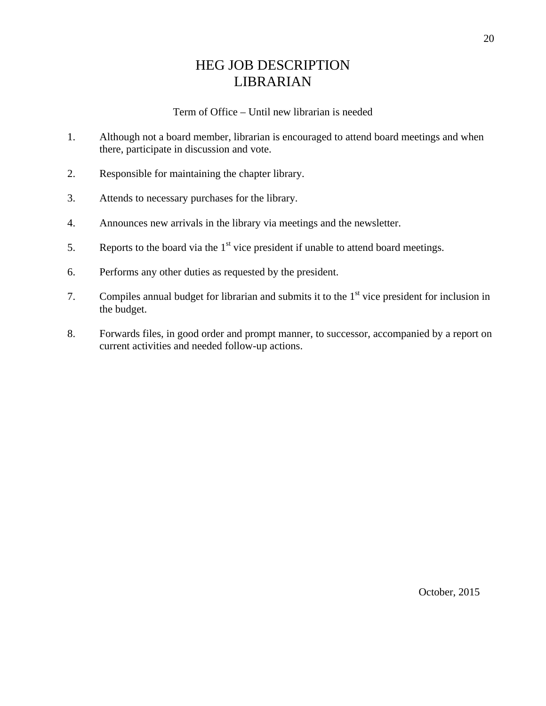## HEG JOB DESCRIPTION LIBRARIAN

#### Term of Office – Until new librarian is needed

- 1. Although not a board member, librarian is encouraged to attend board meetings and when there, participate in discussion and vote.
- 2. Responsible for maintaining the chapter library.
- 3. Attends to necessary purchases for the library.
- 4. Announces new arrivals in the library via meetings and the newsletter.
- 5. Reports to the board via the  $1<sup>st</sup>$  vice president if unable to attend board meetings.
- 6. Performs any other duties as requested by the president.
- 7. Compiles annual budget for librarian and submits it to the  $1<sup>st</sup>$  vice president for inclusion in the budget.
- 8. Forwards files, in good order and prompt manner, to successor, accompanied by a report on current activities and needed follow-up actions.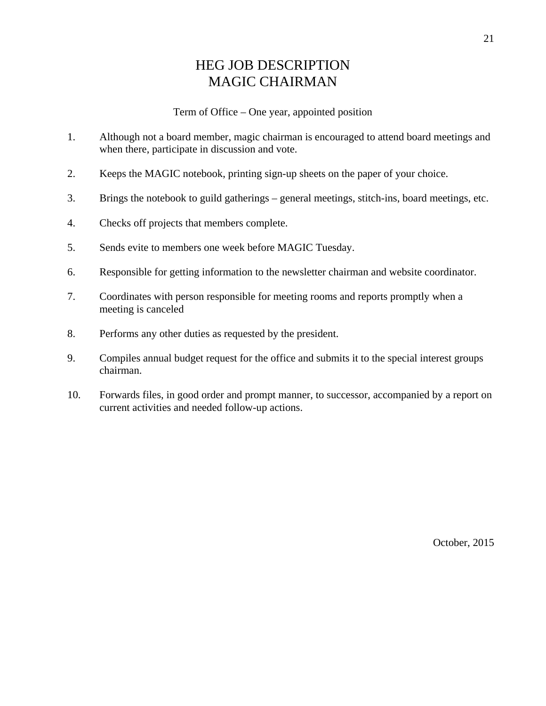## HEG JOB DESCRIPTION MAGIC CHAIRMAN

Term of Office – One year, appointed position

- 1. Although not a board member, magic chairman is encouraged to attend board meetings and when there, participate in discussion and vote.
- 2. Keeps the MAGIC notebook, printing sign-up sheets on the paper of your choice.
- 3. Brings the notebook to guild gatherings general meetings, stitch-ins, board meetings, etc.
- 4. Checks off projects that members complete.
- 5. Sends evite to members one week before MAGIC Tuesday.
- 6. Responsible for getting information to the newsletter chairman and website coordinator.
- 7. Coordinates with person responsible for meeting rooms and reports promptly when a meeting is canceled
- 8. Performs any other duties as requested by the president.
- 9. Compiles annual budget request for the office and submits it to the special interest groups chairman.
- 10. Forwards files, in good order and prompt manner, to successor, accompanied by a report on current activities and needed follow-up actions.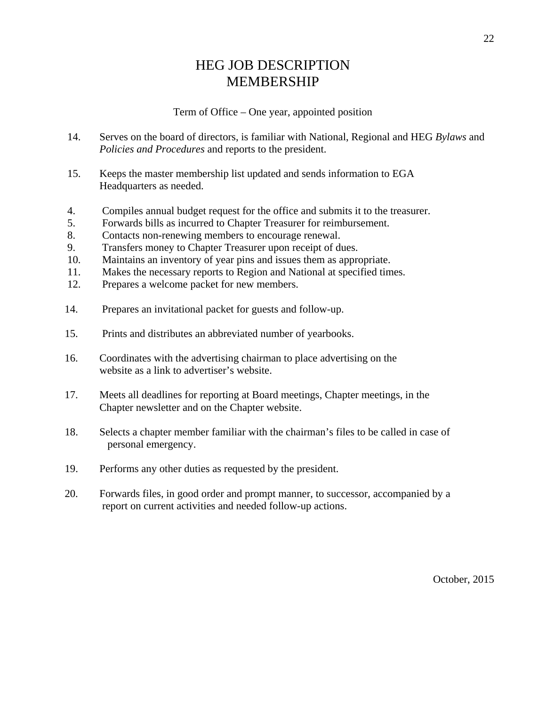#### HEG JOB DESCRIPTION MEMBERSHIP

#### Term of Office – One year, appointed position

- 14. Serves on the board of directors, is familiar with National, Regional and HEG *Bylaws* and *Policies and Procedures* and reports to the president.
- 15. Keeps the master membership list updated and sends information to EGA Headquarters as needed.
- 4. Compiles annual budget request for the office and submits it to the treasurer.
- 5. Forwards bills as incurred to Chapter Treasurer for reimbursement.
- 8. Contacts non-renewing members to encourage renewal.
- 9. Transfers money to Chapter Treasurer upon receipt of dues.
- 10. Maintains an inventory of year pins and issues them as appropriate.
- 11. Makes the necessary reports to Region and National at specified times.
- 12. Prepares a welcome packet for new members.
- 14. Prepares an invitational packet for guests and follow-up.
- 15. Prints and distributes an abbreviated number of yearbooks.
- 16. Coordinates with the advertising chairman to place advertising on the website as a link to advertiser's website.
- 17. Meets all deadlines for reporting at Board meetings, Chapter meetings, in the Chapter newsletter and on the Chapter website.
- 18. Selects a chapter member familiar with the chairman's files to be called in case of personal emergency.
- 19. Performs any other duties as requested by the president.
- 20. Forwards files, in good order and prompt manner, to successor, accompanied by a report on current activities and needed follow-up actions.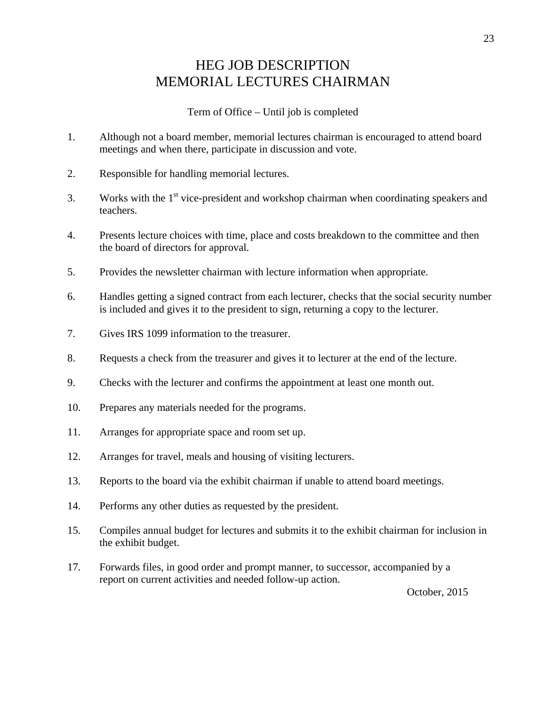## HEG JOB DESCRIPTION MEMORIAL LECTURES CHAIRMAN

Term of Office – Until job is completed

- 1. Although not a board member, memorial lectures chairman is encouraged to attend board meetings and when there, participate in discussion and vote.
- 2. Responsible for handling memorial lectures.
- 3. Works with the  $1<sup>st</sup>$  vice-president and workshop chairman when coordinating speakers and teachers.
- 4. Presents lecture choices with time, place and costs breakdown to the committee and then the board of directors for approval.
- 5. Provides the newsletter chairman with lecture information when appropriate.
- 6. Handles getting a signed contract from each lecturer, checks that the social security number is included and gives it to the president to sign, returning a copy to the lecturer.
- 7. Gives IRS 1099 information to the treasurer.
- 8. Requests a check from the treasurer and gives it to lecturer at the end of the lecture.
- 9. Checks with the lecturer and confirms the appointment at least one month out.
- 10. Prepares any materials needed for the programs.
- 11. Arranges for appropriate space and room set up.
- 12. Arranges for travel, meals and housing of visiting lecturers.
- 13. Reports to the board via the exhibit chairman if unable to attend board meetings.
- 14. Performs any other duties as requested by the president.
- 15. Compiles annual budget for lectures and submits it to the exhibit chairman for inclusion in the exhibit budget.
- 17. Forwards files, in good order and prompt manner, to successor, accompanied by a report on current activities and needed follow-up action.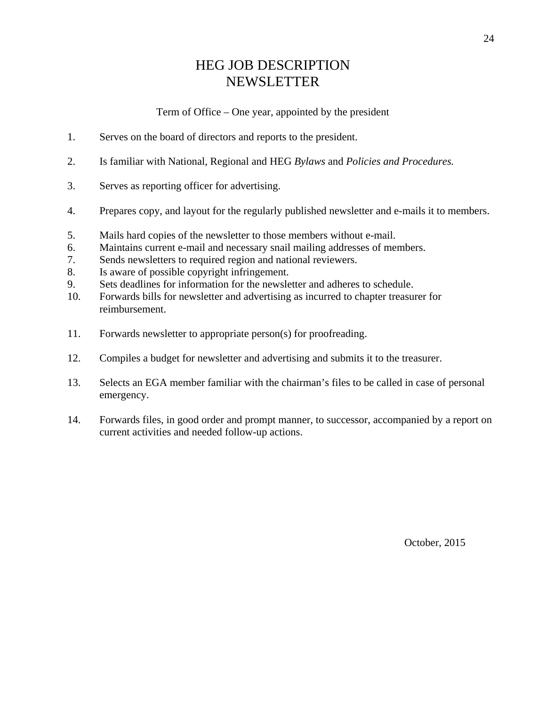### HEG JOB DESCRIPTION NEWSLETTER

Term of Office – One year, appointed by the president

- 1. Serves on the board of directors and reports to the president.
- 2. Is familiar with National, Regional and HEG *Bylaws* and *Policies and Procedures.*
- 3. Serves as reporting officer for advertising.
- 4. Prepares copy, and layout for the regularly published newsletter and e-mails it to members.
- 5. Mails hard copies of the newsletter to those members without e-mail.
- 6. Maintains current e-mail and necessary snail mailing addresses of members.
- 7. Sends newsletters to required region and national reviewers.
- 8. Is aware of possible copyright infringement.
- 9. Sets deadlines for information for the newsletter and adheres to schedule.
- 10. Forwards bills for newsletter and advertising as incurred to chapter treasurer for reimbursement.
- 11. Forwards newsletter to appropriate person(s) for proofreading.
- 12. Compiles a budget for newsletter and advertising and submits it to the treasurer.
- 13. Selects an EGA member familiar with the chairman's files to be called in case of personal emergency.
- 14. Forwards files, in good order and prompt manner, to successor, accompanied by a report on current activities and needed follow-up actions.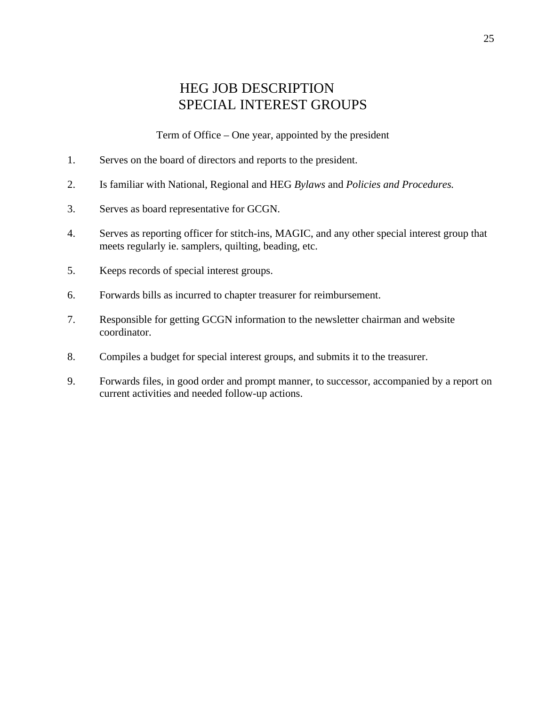#### HEG JOB DESCRIPTION SPECIAL INTEREST GROUPS

Term of Office – One year, appointed by the president

- 1. Serves on the board of directors and reports to the president.
- 2. Is familiar with National, Regional and HEG *Bylaws* and *Policies and Procedures.*
- 3. Serves as board representative for GCGN.
- 4. Serves as reporting officer for stitch-ins, MAGIC, and any other special interest group that meets regularly ie. samplers, quilting, beading, etc.
- 5. Keeps records of special interest groups.
- 6. Forwards bills as incurred to chapter treasurer for reimbursement.
- 7. Responsible for getting GCGN information to the newsletter chairman and website coordinator.
- 8. Compiles a budget for special interest groups, and submits it to the treasurer.
- 9. Forwards files, in good order and prompt manner, to successor, accompanied by a report on current activities and needed follow-up actions.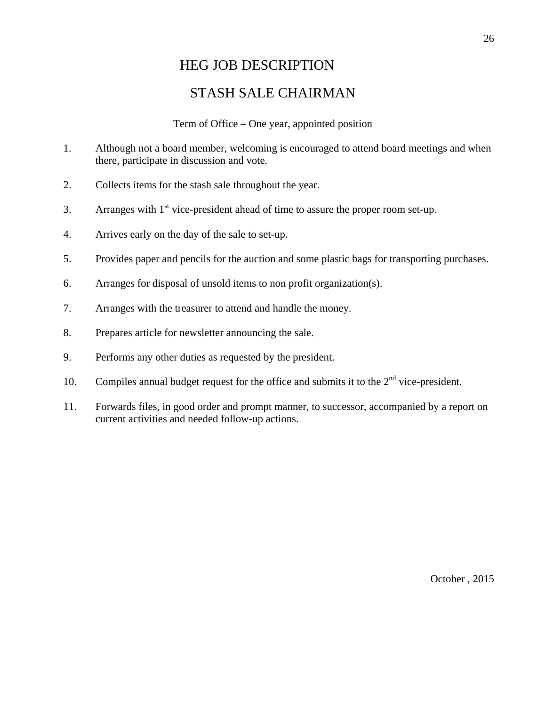#### HEG JOB DESCRIPTION

#### STASH SALE CHAIRMAN

#### Term of Office – One year, appointed position

- 1. Although not a board member, welcoming is encouraged to attend board meetings and when there, participate in discussion and vote.
- 2. Collects items for the stash sale throughout the year.
- 3. Arranges with  $1<sup>st</sup>$  vice-president ahead of time to assure the proper room set-up.
- 4. Arrives early on the day of the sale to set-up.
- 5. Provides paper and pencils for the auction and some plastic bags for transporting purchases.
- 6. Arranges for disposal of unsold items to non profit organization(s).
- 7. Arranges with the treasurer to attend and handle the money.
- 8. Prepares article for newsletter announcing the sale.
- 9. Performs any other duties as requested by the president.
- 10. Compiles annual budget request for the office and submits it to the  $2<sup>nd</sup>$  vice-president.
- 11. Forwards files, in good order and prompt manner, to successor, accompanied by a report on current activities and needed follow-up actions.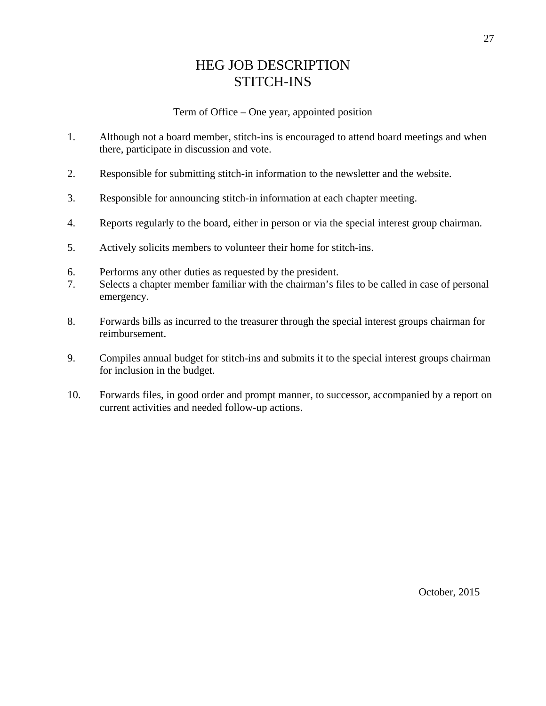## HEG JOB DESCRIPTION STITCH-INS

- 1. Although not a board member, stitch-ins is encouraged to attend board meetings and when there, participate in discussion and vote.
- 2. Responsible for submitting stitch-in information to the newsletter and the website.
- 3. Responsible for announcing stitch-in information at each chapter meeting.
- 4. Reports regularly to the board, either in person or via the special interest group chairman.
- 5. Actively solicits members to volunteer their home for stitch-ins.
- 6. Performs any other duties as requested by the president.
- 7. Selects a chapter member familiar with the chairman's files to be called in case of personal emergency.
- 8. Forwards bills as incurred to the treasurer through the special interest groups chairman for reimbursement.
- 9. Compiles annual budget for stitch-ins and submits it to the special interest groups chairman for inclusion in the budget.
- 10. Forwards files, in good order and prompt manner, to successor, accompanied by a report on current activities and needed follow-up actions.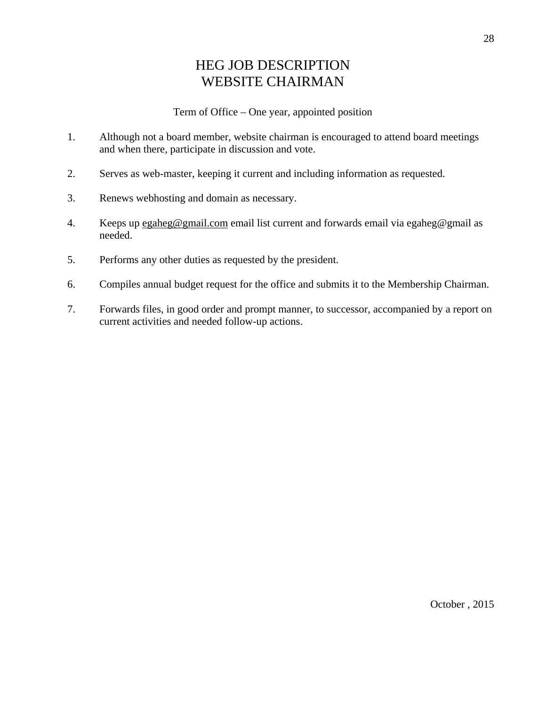## HEG JOB DESCRIPTION WEBSITE CHAIRMAN

- 1. Although not a board member, website chairman is encouraged to attend board meetings and when there, participate in discussion and vote.
- 2. Serves as web-master, keeping it current and including information as requested.
- 3. Renews webhosting and domain as necessary.
- 4. Keeps up egaheg@gmail.com email list current and forwards email via egaheg@gmail as needed.
- 5. Performs any other duties as requested by the president.
- 6. Compiles annual budget request for the office and submits it to the Membership Chairman.
- 7. Forwards files, in good order and prompt manner, to successor, accompanied by a report on current activities and needed follow-up actions.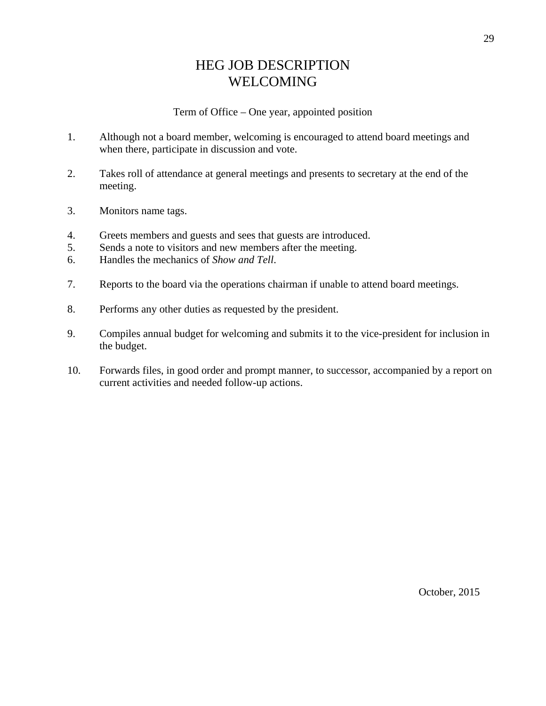## HEG JOB DESCRIPTION WELCOMING

- 1. Although not a board member, welcoming is encouraged to attend board meetings and when there, participate in discussion and vote.
- 2. Takes roll of attendance at general meetings and presents to secretary at the end of the meeting.
- 3. Monitors name tags.
- 4. Greets members and guests and sees that guests are introduced.
- 5. Sends a note to visitors and new members after the meeting.
- 6. Handles the mechanics of *Show and Tell*.
- 7. Reports to the board via the operations chairman if unable to attend board meetings.
- 8. Performs any other duties as requested by the president.
- 9. Compiles annual budget for welcoming and submits it to the vice-president for inclusion in the budget.
- 10. Forwards files, in good order and prompt manner, to successor, accompanied by a report on current activities and needed follow-up actions.